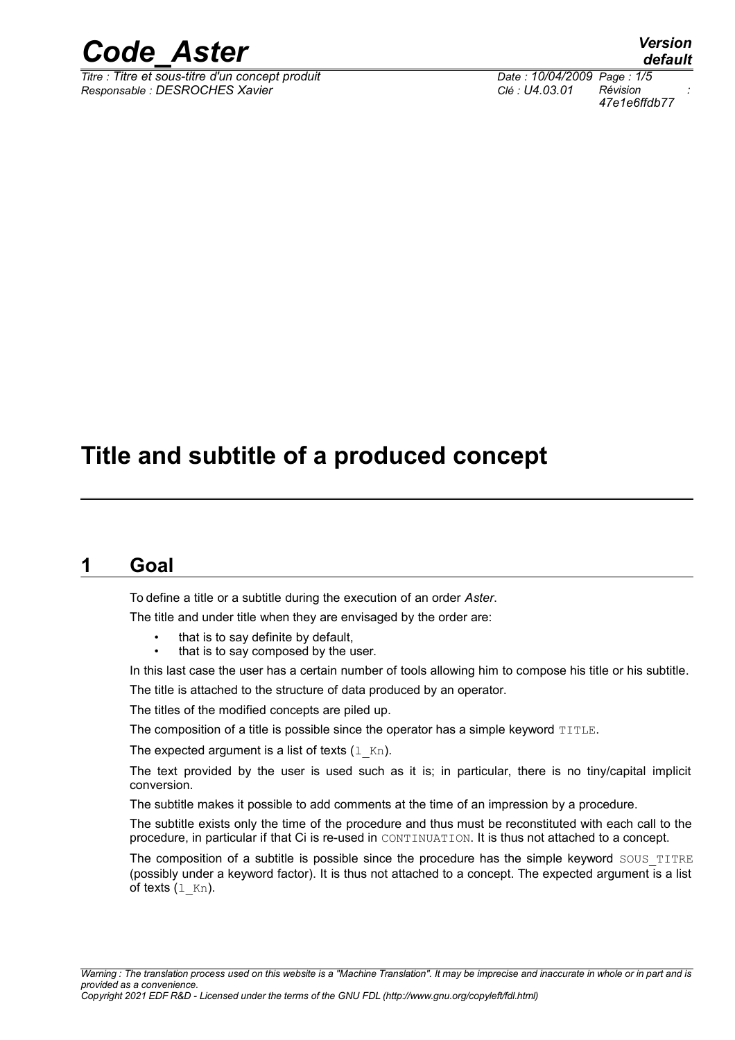

*Titre : Titre et sous-titre d'un concept produit Date : 10/04/2009 Page : 1/5 Responsable : DESROCHES Xavier Clé : U4.03.01 Révision :*

*default 47e1e6ffdb77*

## **Title and subtitle of a produced concept**

### **1 Goal**

To define a title or a subtitle during the execution of an order *Aster*.

The title and under title when they are envisaged by the order are:

- that is to say definite by default,
- that is to say composed by the user.

In this last case the user has a certain number of tools allowing him to compose his title or his subtitle. The title is attached to the structure of data produced by an operator.

The titles of the modified concepts are piled up.

The composition of a title is possible since the operator has a simple keyword TITLE.

The expected argument is a list of texts  $(1 Kn)$ .

The text provided by the user is used such as it is; in particular, there is no tiny/capital implicit conversion.

The subtitle makes it possible to add comments at the time of an impression by a procedure.

The subtitle exists only the time of the procedure and thus must be reconstituted with each call to the procedure, in particular if that Ci is re-used in CONTINUATION. It is thus not attached to a concept.

The composition of a subtitle is possible since the procedure has the simple keyword SOUS TITRE (possibly under a keyword factor). It is thus not attached to a concept. The expected argument is a list of texts  $(1 Kn)$ .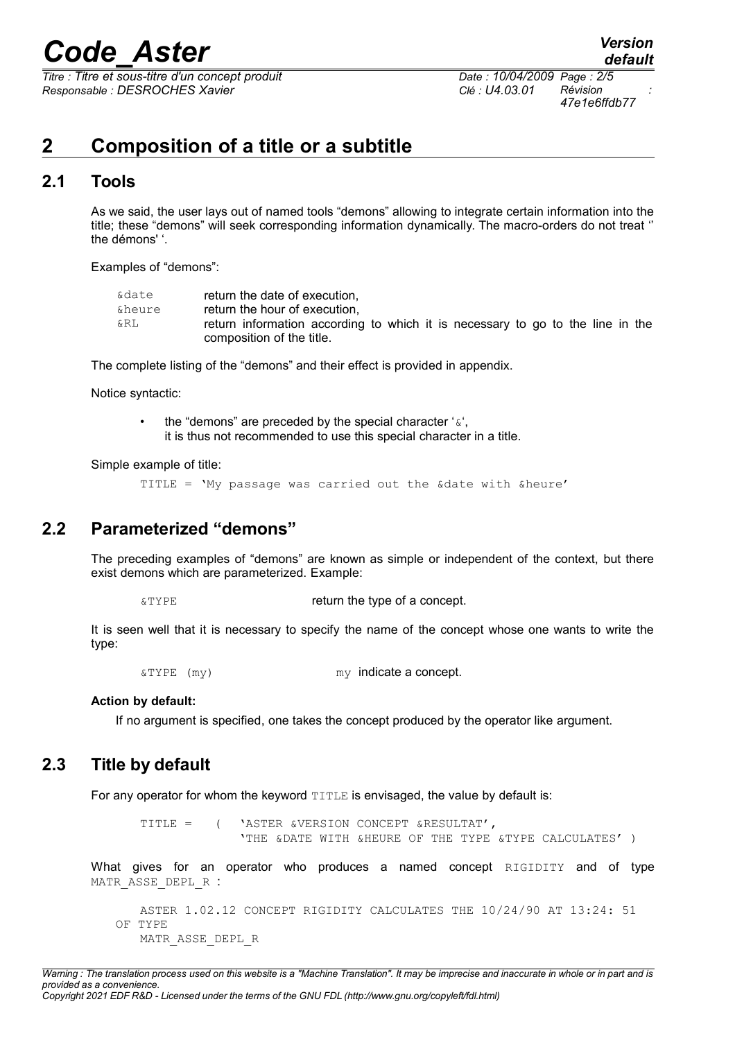*Titre : Titre et sous-titre d'un concept produit Date : 10/04/2009 Page : 2/5 Responsable : DESROCHES Xavier Clé : U4.03.01 Révision :*

*47e1e6ffdb77*

### **2 Composition of a title or a subtitle**

### **2.1 Tools**

As we said, the user lays out of named tools "demons" allowing to integrate certain information into the title; these "demons" will seek corresponding information dynamically. The macro-orders do not treat '' the démons' '.

Examples of "demons":

| &date  | return the date of execution,                                                  |
|--------|--------------------------------------------------------------------------------|
| &heure | return the hour of execution.                                                  |
| &RL    | return information according to which it is necessary to go to the line in the |
|        | composition of the title.                                                      |

The complete listing of the "demons" and their effect is provided in appendix.

Notice syntactic:

the "demons" are preceded by the special character ' $\alpha$ ', it is thus not recommended to use this special character in a title.

Simple example of title:

TITLE = 'My passage was carried out the &date with &heure'

### **2.2 Parameterized "demons"**

The preceding examples of "demons" are known as simple or independent of the context, but there exist demons which are parameterized. Example:

**EXTYPE** *a***TYPE** *aTYPE a* 

It is seen well that it is necessary to specify the name of the concept whose one wants to write the type:

 $\&$  TYPE (my) my indicate a concept.

#### **Action by default:**

If no argument is specified, one takes the concept produced by the operator like argument.

### **2.3 Title by default**

For any operator for whom the keyword  $TITLE$  is envisaged, the value by default is:

```
TITLE = ( 'ASTER &VERSION CONCEPT &RESULTAT',
             'THE &DATE WITH &HEURE OF THE TYPE &TYPE CALCULATES' )
```
What gives for an operator who produces a named concept RIGIDITY and of type MATR ASSE DEPL R :

```
ASTER 1.02.12 CONCEPT RIGIDITY CALCULATES THE 10/24/90 AT 13:24: 51 
OF TYPE
   MATR_ASSE_DEPL_R
```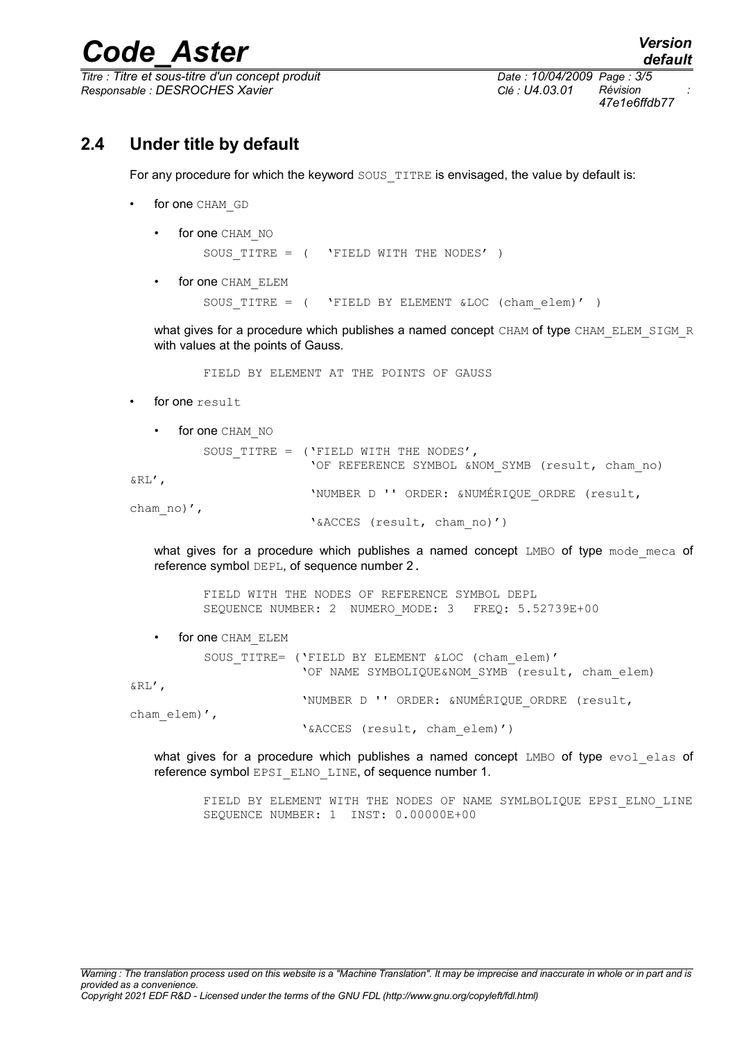$\overline{T}$ *Titre : Titre et sous-titre d'un concept produit Responsable : DESROCHES Xavier Clé : U4.03.01 Révision :*

*47e1e6ffdb77*

### **2.4 Under title by default**

For any procedure for which the keyword SOUS TITRE is envisaged, the value by default is:

- for one CHAM GD
	- for one CHAM NO

SOUS TITRE = ( 'FIELD WITH THE NODES' )

for one CHAM ELEM SOUS TITRE =  $($  'FIELD BY ELEMENT &LOC (cham elem)' )

what gives for a procedure which publishes a named concept CHAM of type CHAM\_ELEM\_SIGM\_R with values at the points of Gauss.

FIELD BY ELEMENT AT THE POINTS OF GAUSS

for one result

• for one CHAM NO SOUS TITRE = ('FIELD WITH THE NODES', 'OF REFERENCE SYMBOL &NOM\_SYMB (result, cham\_no) &RL', 'NUMBER D '' ORDER: &NUMÉRIQUE\_ORDRE (result, cham\_no)', '&ACCES (result, cham\_no)')

what gives for a procedure which publishes a named concept  $LMBO$  of type mode meca of reference symbol DEPL, of sequence number 2.

FIELD WITH THE NODES OF REFERENCE SYMBOL DEPL SEQUENCE NUMBER: 2 NUMERO MODE: 3 FREQ: 5.52739E+00

for one CHAM ELEM

SOUS TITRE= ('FIELD BY ELEMENT &LOC (cham elem)' 'OF NAME SYMBOLIQUE&NOM SYMB (result, cham elem)

&RL',

'NUMBER D '' ORDER: &NUMÉRIQUE\_ORDRE (result,

cham elem)',

'&ACCES (result, cham\_elem)')

what gives for a procedure which publishes a named concept LMBO of type evol elas of reference symbol EPSI\_ELNO\_LINE, of sequence number 1.

FIELD BY ELEMENT WITH THE NODES OF NAME SYMLBOLIQUE EPSI\_ELNO\_LINE SEQUENCE NUMBER: 1 INST: 0.00000E+00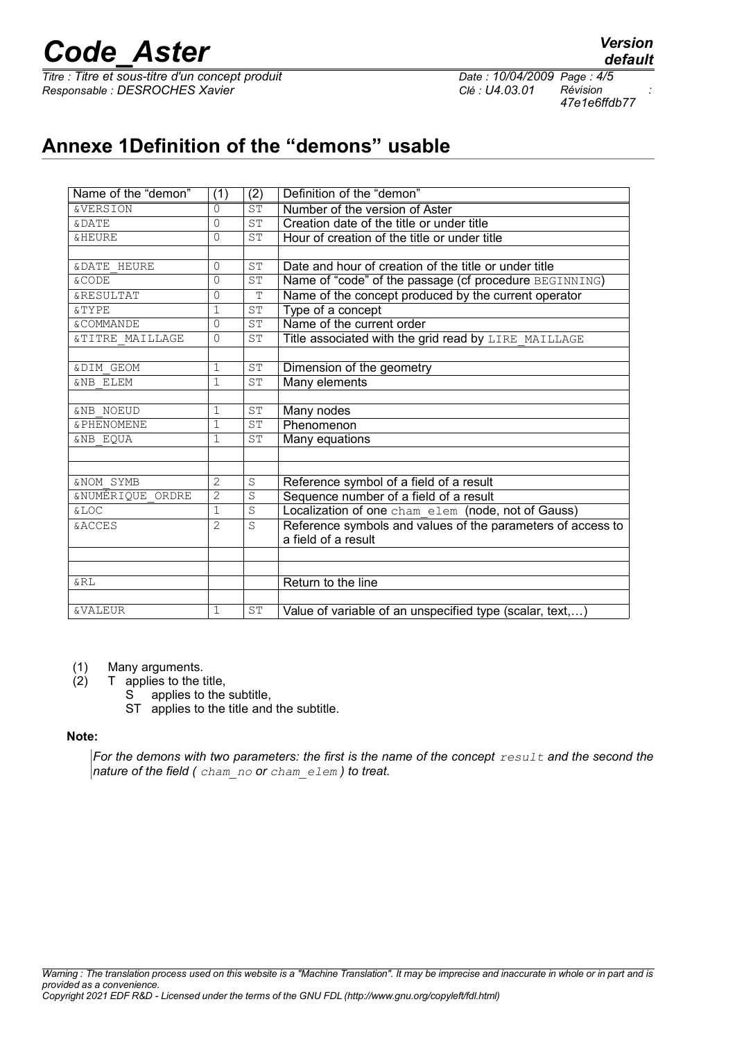*Titre : Titre et sous-titre d'un concept produit Date : 10/04/2009 Page : 4/5 Responsable : DESROCHES Xavier Clé : U4.03.01 Révision :*

*47e1e6ffdb77*

### **Annexe 1Definition of the "demons" usable**

| Name of the "demon"    | (1)          | (2)       | Definition of the "demon"                                   |
|------------------------|--------------|-----------|-------------------------------------------------------------|
| <b>&amp;VERSION</b>    | 0            | ST        | Number of the version of Aster                              |
| <b>&amp;DATE</b>       | 0            | ST        | Creation date of the title or under title                   |
| <b>&amp;HEURE</b>      | $\Omega$     | ST        | Hour of creation of the title or under title                |
|                        |              |           |                                                             |
| <b>&amp;DATE HEURE</b> | $\Omega$     | ST        | Date and hour of creation of the title or under title       |
| <b>&amp;CODE</b>       | 0            | ST        | Name of "code" of the passage (cf procedure BEGINNING)      |
| <b>&amp;RESULTAT</b>   | $\Omega$     | T         | Name of the concept produced by the current operator        |
| <b>&amp;TYPE</b>       | $\mathbf{1}$ | ST        | Type of a concept                                           |
| & COMMANDE             | $\Omega$     | <b>ST</b> | Name of the current order                                   |
| &TITRE MAILLAGE        | 0            | ST        | Title associated with the grid read by LIRE MAILLAGE        |
|                        |              |           |                                                             |
| <b>&amp;DIM GEOM</b>   | $\mathbf 1$  | ST        | Dimension of the geometry                                   |
| <b>&amp;NB ELEM</b>    | $\mathbf{1}$ | <b>ST</b> | Many elements                                               |
|                        |              |           |                                                             |
| <b>&amp;NB NOEUD</b>   | $\mathbf{1}$ | <b>ST</b> | Many nodes                                                  |
| & PHENOMENE            | $\mathbf 1$  | ST        | Phenomenon                                                  |
| <b>&amp;NB EOUA</b>    | $\mathbf{1}$ | <b>ST</b> | Many equations                                              |
|                        |              |           |                                                             |
|                        |              |           |                                                             |
| <b>&amp;NOM SYMB</b>   | 2            | S         | Reference symbol of a field of a result                     |
| &NUMÉRIQUE ORDRE       | 2            | S         | Sequence number of a field of a result                      |
| <b>&amp;LOC</b>        | $\mathbf 1$  | S         | Localization of one cham elem (node, not of Gauss)          |
| <b>&amp;ACCES</b>      | 2            | S         | Reference symbols and values of the parameters of access to |
|                        |              |           | a field of a result                                         |
|                        |              |           |                                                             |
|                        |              |           |                                                             |
| &RL                    |              |           | Return to the line                                          |
|                        |              |           |                                                             |
| <b>&amp;VALEUR</b>     | 1            | ST        | Value of variable of an unspecified type (scalar, text,)    |

(1) Many arguments.

- (2) T applies to the title,
	- S applies to the subtitle,
	- ST applies to the title and the subtitle.

#### **Note:**

*For the demons with two parameters: the first is the name of the concept result and the second the nature of the field ( cham\_no or cham\_elem ) to treat.*

*default*